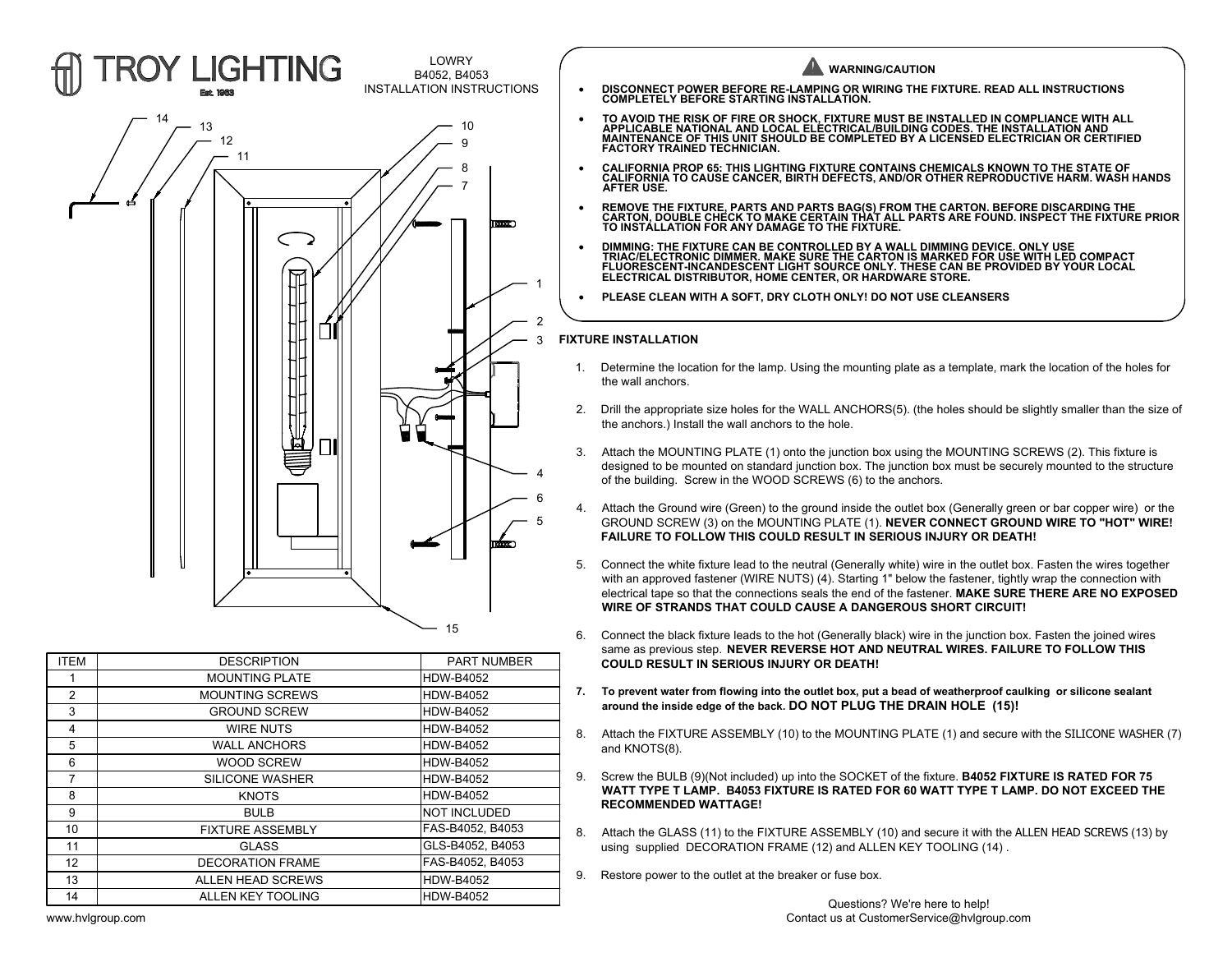

| <b>COULD RESULT IN SERIOUS INJURY OR DEATH!</b>                    |          | <b>PART NUMBER</b> | <b>DESCRIPTION</b>      | <b>ITEM</b>   |
|--------------------------------------------------------------------|----------|--------------------|-------------------------|---------------|
|                                                                    |          | <b>HDW-B4052</b>   | <b>MOUNTING PLATE</b>   |               |
| To prevent water from flowing into the outlet box, put a bead of w |          | <b>HDW-B4052</b>   | <b>MOUNTING SCREWS</b>  | $\mathcal{P}$ |
| around the inside edge of the back. DO NOT PLUG THE DRAI           |          | <b>HDW-B4052</b>   | <b>GROUND SCREW</b>     | 3             |
| Attach the FIXTURE ASSEMBLY (10) to the MOUNTING PLATE             | 8.       | <b>HDW-B4052</b>   | WIRE NUTS               | 4             |
| and KNOTS(8).                                                      |          | <b>HDW-B4052</b>   | <b>WALL ANCHORS</b>     | 5             |
|                                                                    |          | <b>HDW-B4052</b>   | <b>WOOD SCREW</b>       | 6             |
| Screw the BULB (9)(Not included) up into the SOCKET of the fixt    | 9.       | <b>HDW-B4052</b>   | SILICONE WASHER         |               |
| WATT TYPE T LAMP. B4053 FIXTURE IS RATED FOR 60 WA                 |          | HDW-B4052          | <b>KNOTS</b>            | 8             |
| <b>RECOMMENDED WATTAGE!</b>                                        |          | NOT INCLUDED       | <b>BULB</b>             | 9             |
| Attach the GLASS (11) to the FIXTURE ASSEMBLY (10) and set         | 8.<br>9. | FAS-B4052. B4053   | <b>FIXTURE ASSEMBLY</b> | 10            |
| using supplied DECORATION FRAME (12) and ALLEN KEY TO              |          | GLS-B4052, B4053   | <b>GLASS</b>            | 11            |
|                                                                    |          | FAS-B4052, B4053   | <b>DECORATION FRAME</b> | 12            |
| Restore power to the outlet at the breaker or fuse box.            |          | <b>HDW-B4052</b>   | ALLEN HEAD SCREWS       | 13            |
| Questions? We're her                                               |          | <b>HDW-B4052</b>   | ALLEN KEY TOOLING       | 14            |
|                                                                    |          |                    |                         |               |



- GROUND SCREW (3) on the MOUNTING PLATE (1). **NEVER CONNECT GROUND WIRE TO "HOT" WIRE!** 5 **FAILURE TO FOLLOW THIS COULD RESULT IN SERIOUS INJURY OR DEATH!**
- with an approved fastener (WIRE NUTS) (4). Starting 1" below the fastener, tightly wrap the connection with electrical tape so that the connections seals the end of the fastener. **MAKE SURE THERE ARE NO EXPOSED WIRE OF STRANDS THAT COULD CAUSE A DANGEROUS SHORT CIRCUIT!** 4. Attach the Ground wire (Green) to the ground inside the outlet box (Generally green or bar copper wire) or the GROUND SCREW (3) on the MOUNTING PLATE (1). **NEVER CONNECT GROUND WIRE TO "HOT" WIRE!**<br>FAILURE TO FOLLOW THI **7.** Connect the white fixture lead to the neutral (Generally white) wire in the outlet box. Fasten the wires together with an approved fastener (WIRE NUTS) (4). Starting 1" below the fastener, tightly wrap the connection
	- same as previous step. **NEVER REVERSE HOT AND NEUTRAL WIRES. FAILURE TO FOLLOW THIS** electrical tape so that the connections seals the end of the fastener. MAKE SURE THERE ARE NO EXPOSED<br>WIRE OF STRANDS THAT COULD CAUSE A DANGEROUS SHORT CIRCUIT!<br>6. Connect the black fixture leads to the hot (Generally bla
	- **around the inside edge of the back. DO NOT PLUG THE DRAIN HOLE (15)!**
	- and KNOTS(8).
	- 9. Connect the black fixture leads to the hot (Generally black) wire in the junction box. Fasten the joined wires<br>
	same as previous step. NEVER REVERSE HOT AND NEUTRAL WIRES. FAILURE TO FOLLOW THIS<br>
	COULD RESULT IN SERIOUS **WATT TYPE T LAMP. B4053 FIXTURE IS RATED FOR 60 WATT TYPE T LAMP. DO NOT EXCEED THE RECOMMENDED WATTAGE!** 7. To prevent water from flowing into the outlet box, put a bead of weatherproof caulking or silicone sealant<br>around the inside edge of the back. DO NOT PLUG THE DRAIN HOLE (15)!<br>8. Attach the FIXTURE ASSEMBLY (10) to the 8. Attach the FIXTURE ASSEMBLY (10) to the MOUNTING PLATI<br>
	and KNOTS(8).<br>
	9. Screw the BULB (9)(Not included) up into the SOCKET of the fix<br> **WATT TYPE T LAMP. B4053 FIXTURE IS RATED FOR 60 W.**<br> **RECOMMENDED WATTAGE!**<br>
	8.
	- using supplied DECORATION FRAME (12) and ALLEN KEY TOOLING (14) .
		-

www.hvlgroup.com